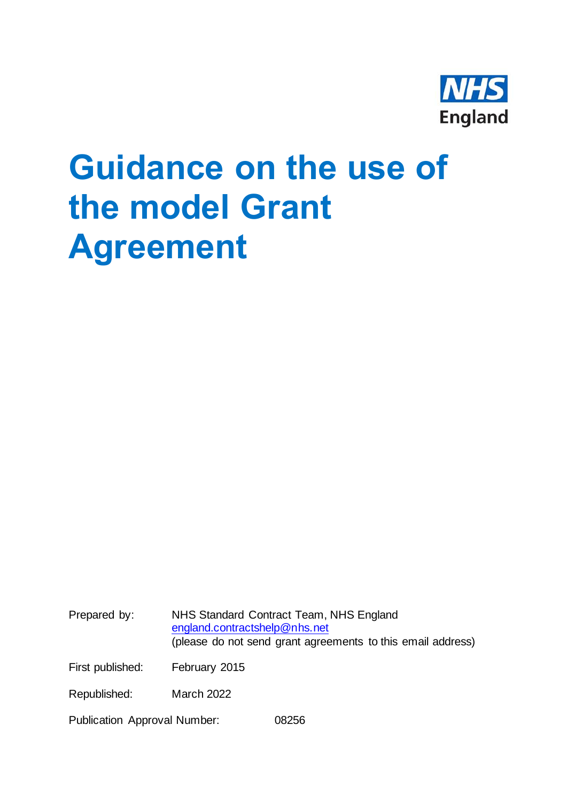

# **Guidance on the use of the model Grant Agreement**

Prepared by: NHS Standard Contract Team, NHS England [england.contractshelp@nhs.net](mailto:england.contractshelp@nhs.net) (please do not send grant agreements to this email address) First published: February 2015 Republished: March 2022

Publication Approval Number: 08256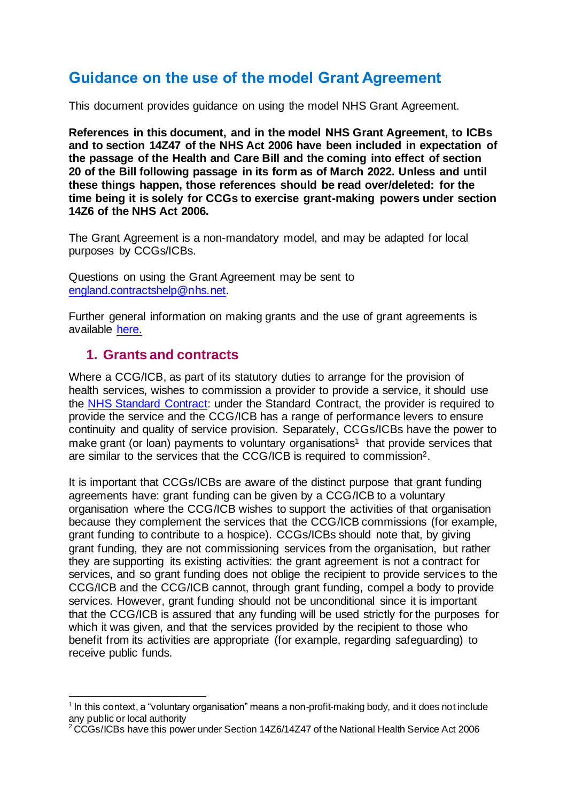# **Guidance on the use of the model Grant Agreement**

This document provides guidance on using the model NHS Grant Agreement.

**References in this document, and in the model NHS Grant Agreement, to ICBs and to section 14Z47 of the NHS Act 2006 have been included in expectation of the passage of the Health and Care Bill and the coming into effect of section 20 of the Bill following passage in its form as of March 2022. Unless and until these things happen, those references should be read over/deleted: for the time being it is solely for CCGs to exercise grant-making powers under section 14Z6 of the NHS Act 2006.**

The Grant Agreement is a non-mandatory model, and may be adapted for local purposes by CCGs/ICBs.

Questions on using the Grant Agreement may be sent to [england.contractshelp@nhs.net.](mailto:england.contractshelp@nhs.net)

Further general information on making grants and the use of grant agreements is available [here.](https://www.england.nhs.uk/nhs-standard-contract/grant-agreement/)

#### **1. Grants and contracts**

Where a CCG/ICB, as part of its statutory duties to arrange for the provision of health services, wishes to commission a provider to provide a service, it should use the [NHS Standard Contract:](https://www.england.nhs.uk/nhs-standard-contract/) under the Standard Contract, the provider is required to provide the service and the CCG/ICB has a range of performance levers to ensure continuity and quality of service provision. Separately, CCGs/ICBs have the power to make grant (or loan) payments to voluntary organisations<sup>1</sup> that provide services that are similar to the services that the CCG/ICB is required to commission2.

It is important that CCGs/ICBs are aware of the distinct purpose that grant funding agreements have: grant funding can be given by a CCG/ICB to a voluntary organisation where the CCG/ICB wishes to support the activities of that organisation because they complement the services that the CCG/ICB commissions (for example, grant funding to contribute to a hospice). CCGs/ICBs should note that, by giving grant funding, they are not commissioning services from the organisation, but rather they are supporting its existing activities: the grant agreement is not a contract for services, and so grant funding does not oblige the recipient to provide services to the CCG/ICB and the CCG/ICB cannot, through grant funding, compel a body to provide services. However, grant funding should not be unconditional since it is important that the CCG/ICB is assured that any funding will be used strictly for the purposes for which it was given, and that the services provided by the recipient to those who benefit from its activities are appropriate (for example, regarding safeguarding) to receive public funds.

<sup>&</sup>lt;sup>1</sup> In this context, a "voluntary organisation" means a non-profit-making body, and it does not include any public or local authority

<sup>&</sup>lt;sup>2</sup> CCGs/ICBs have this power under Section 14Z6/14Z47 of the National Health Service Act 2006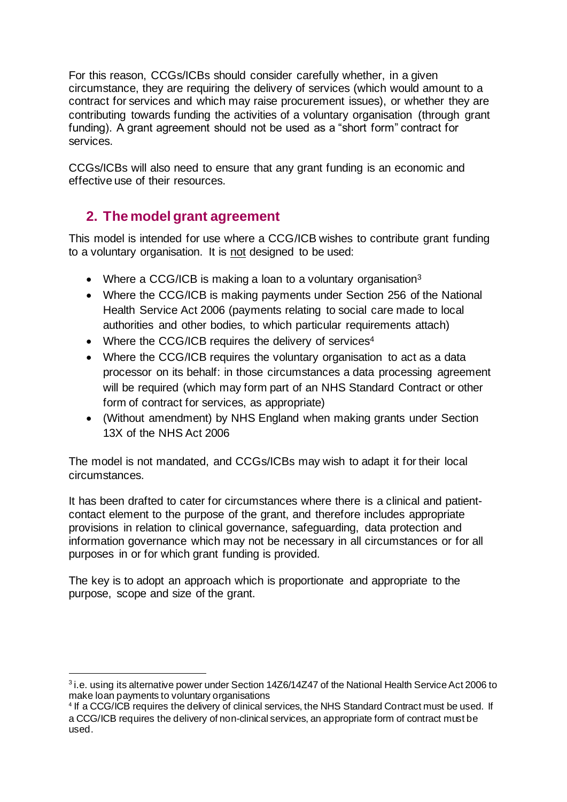For this reason, CCGs/ICBs should consider carefully whether, in a given circumstance, they are requiring the delivery of services (which would amount to a contract for services and which may raise procurement issues), or whether they are contributing towards funding the activities of a voluntary organisation (through grant funding). A grant agreement should not be used as a "short form" contract for services.

CCGs/ICBs will also need to ensure that any grant funding is an economic and effective use of their resources.

## **2. The model grant agreement**

This model is intended for use where a CCG/ICB wishes to contribute grant funding to a voluntary organisation. It is not designed to be used:

- Where a CCG/ICB is making a loan to a voluntary organisation<sup>3</sup>
- Where the CCG/ICB is making payments under Section 256 of the National Health Service Act 2006 (payments relating to social care made to local authorities and other bodies, to which particular requirements attach)
- Where the CCG/ICB requires the delivery of services<sup>4</sup>
- Where the CCG/ICB requires the voluntary organisation to act as a data processor on its behalf: in those circumstances a data processing agreement will be required (which may form part of an NHS Standard Contract or other form of contract for services, as appropriate)
- (Without amendment) by NHS England when making grants under Section 13X of the NHS Act 2006

The model is not mandated, and CCGs/ICBs may wish to adapt it for their local circumstances.

It has been drafted to cater for circumstances where there is a clinical and patientcontact element to the purpose of the grant, and therefore includes appropriate provisions in relation to clinical governance, safeguarding, data protection and information governance which may not be necessary in all circumstances or for all purposes in or for which grant funding is provided.

The key is to adopt an approach which is proportionate and appropriate to the purpose, scope and size of the grant.

<sup>&</sup>lt;sup>3</sup> i.e. using its alternative power under Section 14Z6/14Z47 of the National Health Service Act 2006 to make loan payments to voluntary organisations

<sup>4</sup> If a CCG/ICB requires the delivery of clinical services, the NHS Standard Contract must be used. If a CCG/ICB requires the delivery of non-clinical services, an appropriate form of contract must be used.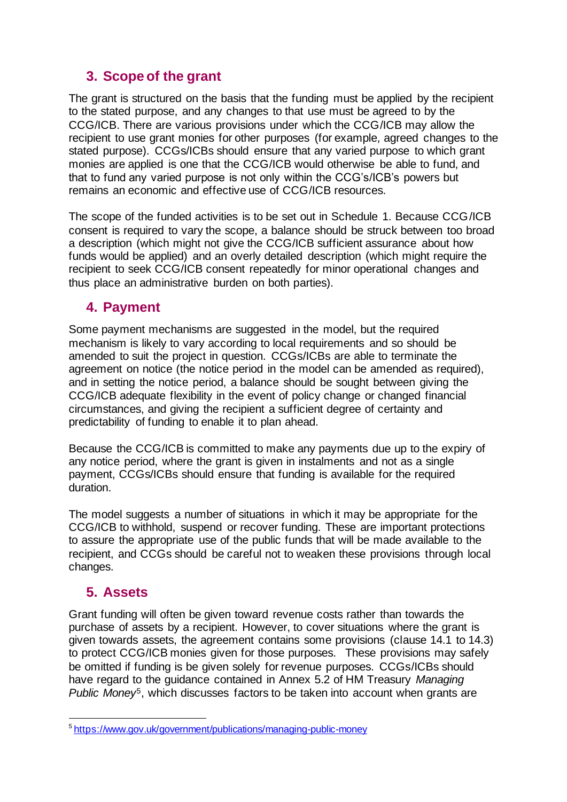#### **3. Scope of the grant**

The grant is structured on the basis that the funding must be applied by the recipient to the stated purpose, and any changes to that use must be agreed to by the CCG/ICB. There are various provisions under which the CCG/ICB may allow the recipient to use grant monies for other purposes (for example, agreed changes to the stated purpose). CCGs/ICBs should ensure that any varied purpose to which grant monies are applied is one that the CCG/ICB would otherwise be able to fund, and that to fund any varied purpose is not only within the CCG's/ICB's powers but remains an economic and effective use of CCG/ICB resources.

The scope of the funded activities is to be set out in Schedule 1. Because CCG/ICB consent is required to vary the scope, a balance should be struck between too broad a description (which might not give the CCG/ICB sufficient assurance about how funds would be applied) and an overly detailed description (which might require the recipient to seek CCG/ICB consent repeatedly for minor operational changes and thus place an administrative burden on both parties).

#### **4. Payment**

Some payment mechanisms are suggested in the model, but the required mechanism is likely to vary according to local requirements and so should be amended to suit the project in question. CCGs/ICBs are able to terminate the agreement on notice (the notice period in the model can be amended as required), and in setting the notice period, a balance should be sought between giving the CCG/ICB adequate flexibility in the event of policy change or changed financial circumstances, and giving the recipient a sufficient degree of certainty and predictability of funding to enable it to plan ahead.

Because the CCG/ICB is committed to make any payments due up to the expiry of any notice period, where the grant is given in instalments and not as a single payment, CCGs/ICBs should ensure that funding is available for the required duration.

The model suggests a number of situations in which it may be appropriate for the CCG/ICB to withhold, suspend or recover funding. These are important protections to assure the appropriate use of the public funds that will be made available to the recipient, and CCGs should be careful not to weaken these provisions through local changes.

### **5. Assets**

Grant funding will often be given toward revenue costs rather than towards the purchase of assets by a recipient. However, to cover situations where the grant is given towards assets, the agreement contains some provisions (clause 14.1 to 14.3) to protect CCG/ICB monies given for those purposes. These provisions may safely be omitted if funding is be given solely for revenue purposes. CCGs/ICBs should have regard to the guidance contained in Annex 5.2 of HM Treasury *Managing Public Money*<sup>5</sup>, which discusses factors to be taken into account when grants are

<sup>5</sup> <https://www.gov.uk/government/publications/managing-public-money>